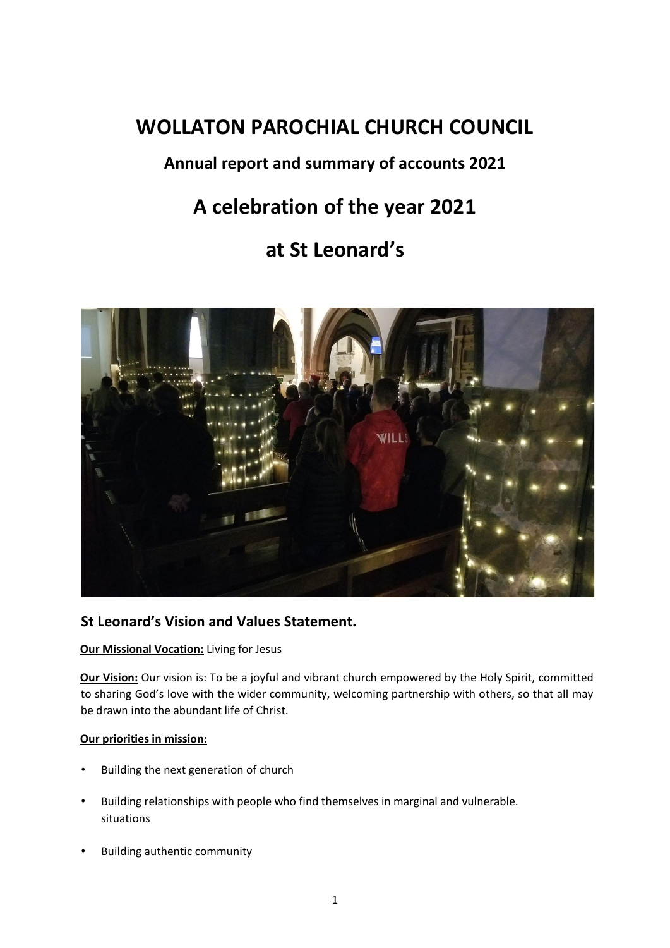# **WOLLATON PAROCHIAL CHURCH COUNCIL**

## **Annual report and summary of accounts 2021**

# **A celebration of the year 2021**

## **at St Leonard's**



## **St Leonard's Vision and Values Statement.**

## **Our Missional Vocation:** Living for Jesus

**Our Vision:** Our vision is: To be a joyful and vibrant church empowered by the Holy Spirit, committed to sharing God's love with the wider community, welcoming partnership with others, so that all may be drawn into the abundant life of Christ.

#### **Our priorities in mission:**

- Building the next generation of church
- Building relationships with people who find themselves in marginal and vulnerable. situations
- Building authentic community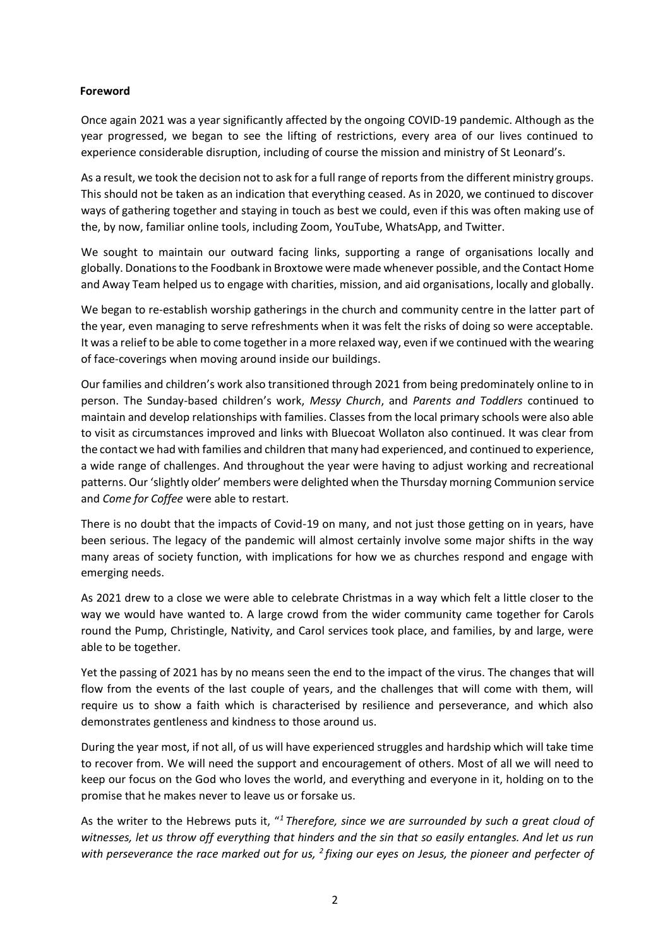#### **Foreword**

Once again 2021 was a year significantly affected by the ongoing COVID-19 pandemic. Although as the year progressed, we began to see the lifting of restrictions, every area of our lives continued to experience considerable disruption, including of course the mission and ministry of St Leonard's.

As a result, we took the decision not to ask for a full range of reports from the different ministry groups. This should not be taken as an indication that everything ceased. As in 2020, we continued to discover ways of gathering together and staying in touch as best we could, even if this was often making use of the, by now, familiar online tools, including Zoom, YouTube, WhatsApp, and Twitter.

We sought to maintain our outward facing links, supporting a range of organisations locally and globally. Donations to the Foodbank in Broxtowe were made whenever possible, and the Contact Home and Away Team helped us to engage with charities, mission, and aid organisations, locally and globally.

We began to re-establish worship gatherings in the church and community centre in the latter part of the year, even managing to serve refreshments when it was felt the risks of doing so were acceptable. It was a relief to be able to come together in a more relaxed way, even if we continued with the wearing of face-coverings when moving around inside our buildings.

Our families and children's work also transitioned through 2021 from being predominately online to in person. The Sunday-based children's work, *Messy Church*, and *Parents and Toddlers* continued to maintain and develop relationships with families. Classes from the local primary schools were also able to visit as circumstances improved and links with Bluecoat Wollaton also continued. It was clear from the contact we had with families and children that many had experienced, and continued to experience, a wide range of challenges. And throughout the year were having to adjust working and recreational patterns. Our 'slightly older' members were delighted when the Thursday morning Communion service and *Come for Coffee* were able to restart.

There is no doubt that the impacts of Covid-19 on many, and not just those getting on in years, have been serious. The legacy of the pandemic will almost certainly involve some major shifts in the way many areas of society function, with implications for how we as churches respond and engage with emerging needs.

As 2021 drew to a close we were able to celebrate Christmas in a way which felt a little closer to the way we would have wanted to. A large crowd from the wider community came together for Carols round the Pump, Christingle, Nativity, and Carol services took place, and families, by and large, were able to be together.

Yet the passing of 2021 has by no means seen the end to the impact of the virus. The changes that will flow from the events of the last couple of years, and the challenges that will come with them, will require us to show a faith which is characterised by resilience and perseverance, and which also demonstrates gentleness and kindness to those around us.

During the year most, if not all, of us will have experienced struggles and hardship which will take time to recover from. We will need the support and encouragement of others. Most of all we will need to keep our focus on the God who loves the world, and everything and everyone in it, holding on to the promise that he makes never to leave us or forsake us.

As the writer to the Hebrews puts it, "*<sup>1</sup> Therefore, since we are surrounded by such a great cloud of witnesses, let us throw off everything that hinders and the sin that so easily entangles. And let us run with perseverance the race marked out for us, <sup>2</sup> fixing our eyes on Jesus, the pioneer and perfecter of*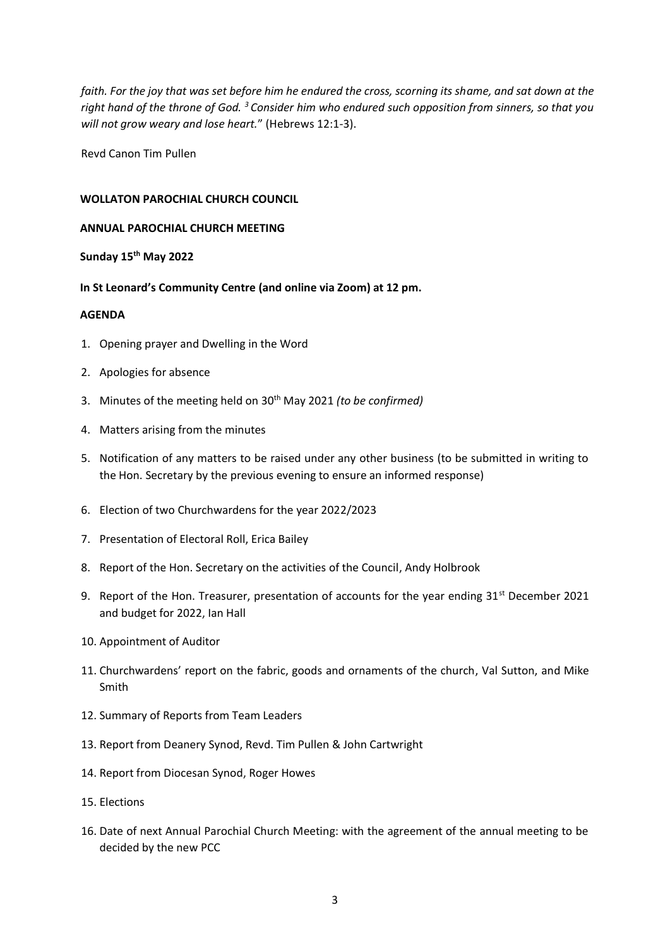*faith. For the joy that was set before him he endured the cross, scorning its shame, and sat down at the right hand of the throne of God. <sup>3</sup> Consider him who endured such opposition from sinners, so that you will not grow weary and lose heart.*" (Hebrews 12:1-3).

Revd Canon Tim Pullen

#### **WOLLATON PAROCHIAL CHURCH COUNCIL**

#### **ANNUAL PAROCHIAL CHURCH MEETING**

#### **Sunday 15th May 2022**

#### **In St Leonard's Community Centre (and online via Zoom) at 12 pm.**

#### **AGENDA**

- 1. Opening prayer and Dwelling in the Word
- 2. Apologies for absence
- 3. Minutes of the meeting held on 30th May 2021 *(to be confirmed)*
- 4. Matters arising from the minutes
- 5. Notification of any matters to be raised under any other business (to be submitted in writing to the Hon. Secretary by the previous evening to ensure an informed response)
- 6. Election of two Churchwardens for the year 2022/2023
- 7. Presentation of Electoral Roll, Erica Bailey
- 8. Report of the Hon. Secretary on the activities of the Council, Andy Holbrook
- 9. Report of the Hon. Treasurer, presentation of accounts for the year ending 31<sup>st</sup> December 2021 and budget for 2022, Ian Hall
- 10. Appointment of Auditor
- 11. Churchwardens' report on the fabric, goods and ornaments of the church, Val Sutton, and Mike Smith
- 12. Summary of Reports from Team Leaders
- 13. Report from Deanery Synod, Revd. Tim Pullen & John Cartwright
- 14. Report from Diocesan Synod, Roger Howes
- 15. Elections
- 16. Date of next Annual Parochial Church Meeting: with the agreement of the annual meeting to be decided by the new PCC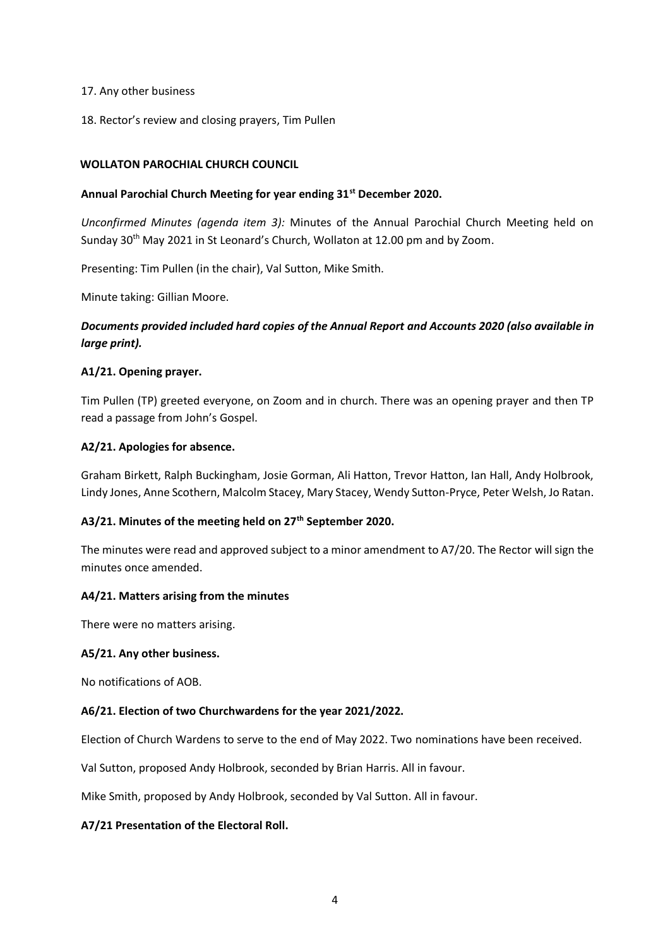#### 17. Any other business

18. Rector's review and closing prayers, Tim Pullen

#### **WOLLATON PAROCHIAL CHURCH COUNCIL**

#### **Annual Parochial Church Meeting for year ending 31st December 2020.**

*Unconfirmed Minutes (agenda item 3):* Minutes of the Annual Parochial Church Meeting held on Sunday 30<sup>th</sup> May 2021 in St Leonard's Church, Wollaton at 12.00 pm and by Zoom.

Presenting: Tim Pullen (in the chair), Val Sutton, Mike Smith.

Minute taking: Gillian Moore.

## *Documents provided included hard copies of the Annual Report and Accounts 2020 (also available in large print).*

#### **A1/21. Opening prayer.**

Tim Pullen (TP) greeted everyone, on Zoom and in church. There was an opening prayer and then TP read a passage from John's Gospel.

#### **A2/21. Apologies for absence.**

Graham Birkett, Ralph Buckingham, Josie Gorman, Ali Hatton, Trevor Hatton, Ian Hall, Andy Holbrook, Lindy Jones, Anne Scothern, Malcolm Stacey, Mary Stacey, Wendy Sutton-Pryce, Peter Welsh, Jo Ratan.

#### **A3/21. Minutes of the meeting held on 27th September 2020.**

The minutes were read and approved subject to a minor amendment to A7/20. The Rector will sign the minutes once amended.

#### **A4/21. Matters arising from the minutes**

There were no matters arising.

#### **A5/21. Any other business.**

No notifications of AOB.

#### **A6/21. Election of two Churchwardens for the year 2021/2022.**

Election of Church Wardens to serve to the end of May 2022. Two nominations have been received.

Val Sutton, proposed Andy Holbrook, seconded by Brian Harris. All in favour.

Mike Smith, proposed by Andy Holbrook, seconded by Val Sutton. All in favour.

#### **A7/21 Presentation of the Electoral Roll.**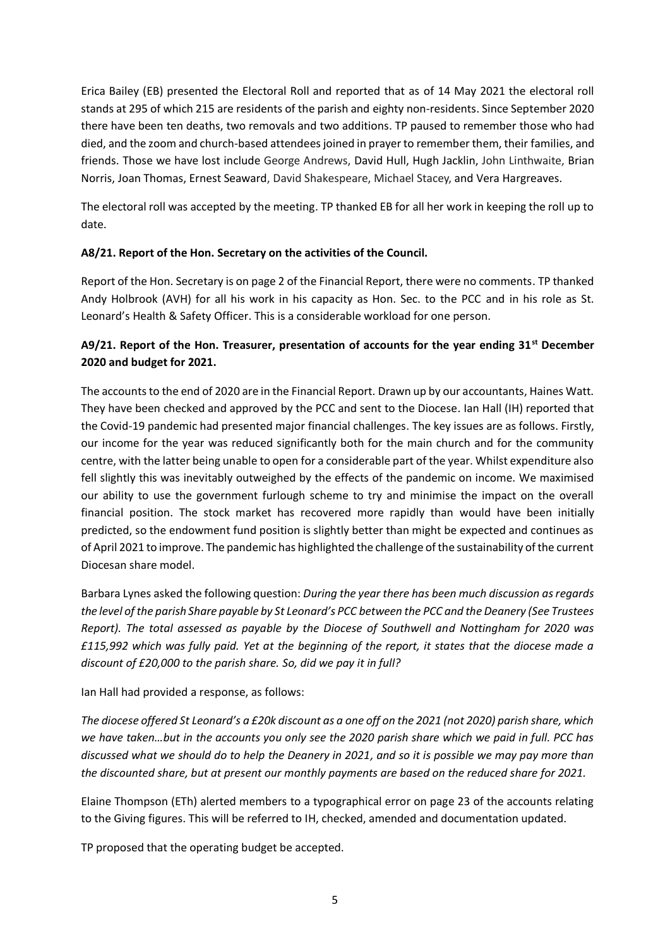Erica Bailey (EB) presented the Electoral Roll and reported that as of 14 May 2021 the electoral roll stands at 295 of which 215 are residents of the parish and eighty non-residents. Since September 2020 there have been ten deaths, two removals and two additions. TP paused to remember those who had died, and the zoom and church-based attendees joined in prayer to remember them, their families, and friends. Those we have lost include George Andrews, David Hull, Hugh Jacklin, John Linthwaite, Brian Norris, Joan Thomas, Ernest Seaward, David Shakespeare, Michael Stacey, and Vera Hargreaves.

The electoral roll was accepted by the meeting. TP thanked EB for all her work in keeping the roll up to date.

## **A8/21. Report of the Hon. Secretary on the activities of the Council.**

Report of the Hon. Secretary is on page 2 of the Financial Report, there were no comments. TP thanked Andy Holbrook (AVH) for all his work in his capacity as Hon. Sec. to the PCC and in his role as St. Leonard's Health & Safety Officer. This is a considerable workload for one person.

## **A9/21. Report of the Hon. Treasurer, presentation of accounts for the year ending 31st December 2020 and budget for 2021.**

The accounts to the end of 2020 are in the Financial Report. Drawn up by our accountants, Haines Watt. They have been checked and approved by the PCC and sent to the Diocese. Ian Hall (IH) reported that the Covid-19 pandemic had presented major financial challenges. The key issues are as follows. Firstly, our income for the year was reduced significantly both for the main church and for the community centre, with the latter being unable to open for a considerable part of the year. Whilst expenditure also fell slightly this was inevitably outweighed by the effects of the pandemic on income. We maximised our ability to use the government furlough scheme to try and minimise the impact on the overall financial position. The stock market has recovered more rapidly than would have been initially predicted, so the endowment fund position is slightly better than might be expected and continues as of April 2021 to improve. The pandemic has highlighted the challenge of the sustainability of the current Diocesan share model.

Barbara Lynes asked the following question: *During the year there has been much discussion as regards the level of the parish Share payable by St Leonard's PCC between the PCC and the Deanery (See Trustees Report). The total assessed as payable by the Diocese of Southwell and Nottingham for 2020 was £115,992 which was fully paid. Yet at the beginning of the report, it states that the diocese made a discount of £20,000 to the parish share. So, did we pay it in full?*

Ian Hall had provided a response, as follows:

*The diocese offered St Leonard's a £20k discount as a one off on the 2021 (not 2020) parish share, which we have taken…but in the accounts you only see the 2020 parish share which we paid in full. PCC has discussed what we should do to help the Deanery in 2021, and so it is possible we may pay more than the discounted share, but at present our monthly payments are based on the reduced share for 2021.*

Elaine Thompson (ETh) alerted members to a typographical error on page 23 of the accounts relating to the Giving figures. This will be referred to IH, checked, amended and documentation updated.

TP proposed that the operating budget be accepted.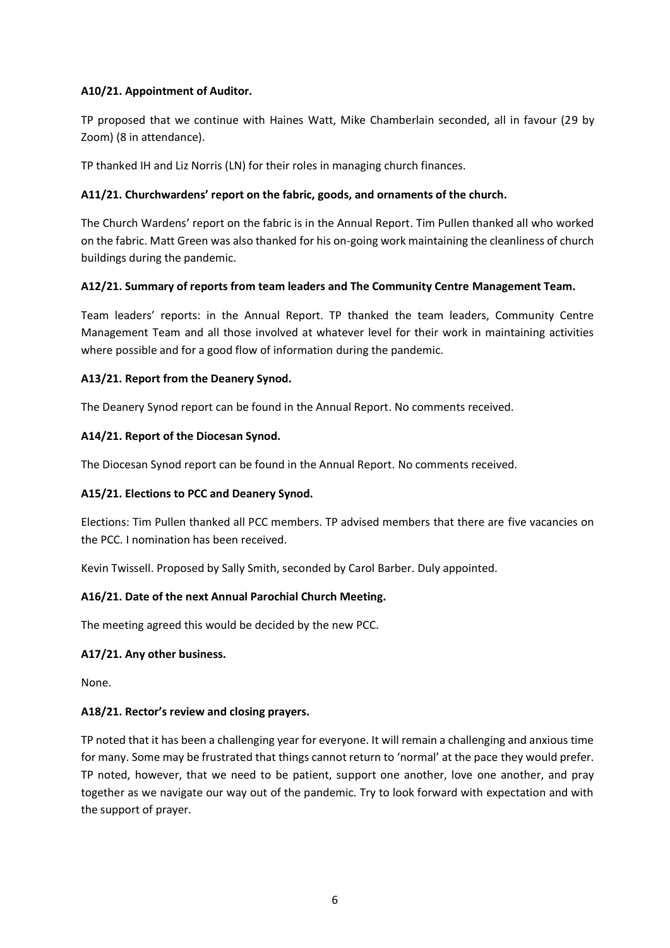## **A10/21. Appointment of Auditor.**

TP proposed that we continue with Haines Watt, Mike Chamberlain seconded, all in favour (29 by Zoom) (8 in attendance).

TP thanked IH and Liz Norris (LN) for their roles in managing church finances.

### **A11/21. Churchwardens' report on the fabric, goods, and ornaments of the church.**

The Church Wardens' report on the fabric is in the Annual Report. Tim Pullen thanked all who worked on the fabric. Matt Green was also thanked for his on-going work maintaining the cleanliness of church buildings during the pandemic.

#### **A12/21. Summary of reports from team leaders and The Community Centre Management Team.**

Team leaders' reports: in the Annual Report. TP thanked the team leaders, Community Centre Management Team and all those involved at whatever level for their work in maintaining activities where possible and for a good flow of information during the pandemic.

#### **A13/21. Report from the Deanery Synod.**

The Deanery Synod report can be found in the Annual Report. No comments received.

#### **A14/21. Report of the Diocesan Synod.**

The Diocesan Synod report can be found in the Annual Report. No comments received.

#### **A15/21. Elections to PCC and Deanery Synod.**

Elections: Tim Pullen thanked all PCC members. TP advised members that there are five vacancies on the PCC. I nomination has been received.

Kevin Twissell. Proposed by Sally Smith, seconded by Carol Barber. Duly appointed.

## **A16/21. Date of the next Annual Parochial Church Meeting.**

The meeting agreed this would be decided by the new PCC.

#### **A17/21. Any other business.**

None.

### **A18/21. Rector's review and closing prayers.**

TP noted that it has been a challenging year for everyone. It will remain a challenging and anxious time for many. Some may be frustrated that things cannot return to 'normal' at the pace they would prefer. TP noted, however, that we need to be patient, support one another, love one another, and pray together as we navigate our way out of the pandemic. Try to look forward with expectation and with the support of prayer.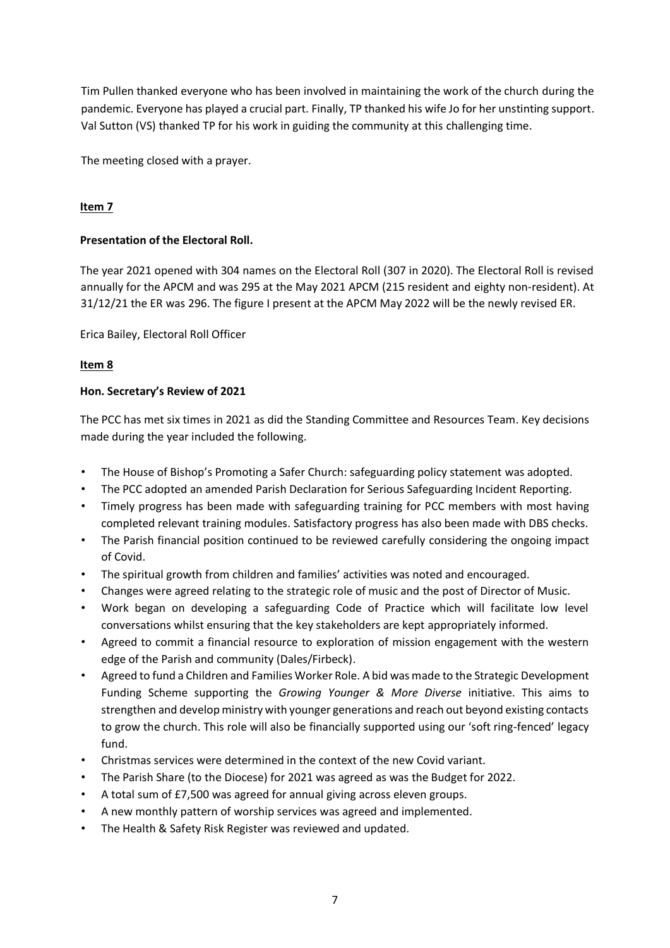Tim Pullen thanked everyone who has been involved in maintaining the work of the church during the pandemic. Everyone has played a crucial part. Finally, TP thanked his wife Jo for her unstinting support. Val Sutton (VS) thanked TP for his work in guiding the community at this challenging time.

The meeting closed with a prayer.

## **Item 7**

#### **Presentation of the Electoral Roll.**

The year 2021 opened with 304 names on the Electoral Roll (307 in 2020). The Electoral Roll is revised annually for the APCM and was 295 at the May 2021 APCM (215 resident and eighty non-resident). At 31/12/21 the ER was 296. The figure I present at the APCM May 2022 will be the newly revised ER.

Erica Bailey, Electoral Roll Officer

#### **Item 8**

#### **Hon. Secretary's Review of 2021**

The PCC has met six times in 2021 as did the Standing Committee and Resources Team. Key decisions made during the year included the following.

- The House of Bishop's Promoting a Safer Church: safeguarding policy statement was adopted.
- The PCC adopted an amended Parish Declaration for Serious Safeguarding Incident Reporting.
- Timely progress has been made with safeguarding training for PCC members with most having completed relevant training modules. Satisfactory progress has also been made with DBS checks.
- The Parish financial position continued to be reviewed carefully considering the ongoing impact of Covid.
- The spiritual growth from children and families' activities was noted and encouraged.
- Changes were agreed relating to the strategic role of music and the post of Director of Music.
- Work began on developing a safeguarding Code of Practice which will facilitate low level conversations whilst ensuring that the key stakeholders are kept appropriately informed.
- Agreed to commit a financial resource to exploration of mission engagement with the western edge of the Parish and community (Dales/Firbeck).
- Agreed to fund a Children and Families Worker Role. A bid was made to the Strategic Development Funding Scheme supporting the *Growing Younger & More Diverse* initiative. This aims to strengthen and develop ministry with younger generations and reach out beyond existing contacts to grow the church. This role will also be financially supported using our 'soft ring-fenced' legacy fund.
- Christmas services were determined in the context of the new Covid variant.
- The Parish Share (to the Diocese) for 2021 was agreed as was the Budget for 2022.
- A total sum of £7,500 was agreed for annual giving across eleven groups.
- A new monthly pattern of worship services was agreed and implemented.
- The Health & Safety Risk Register was reviewed and updated.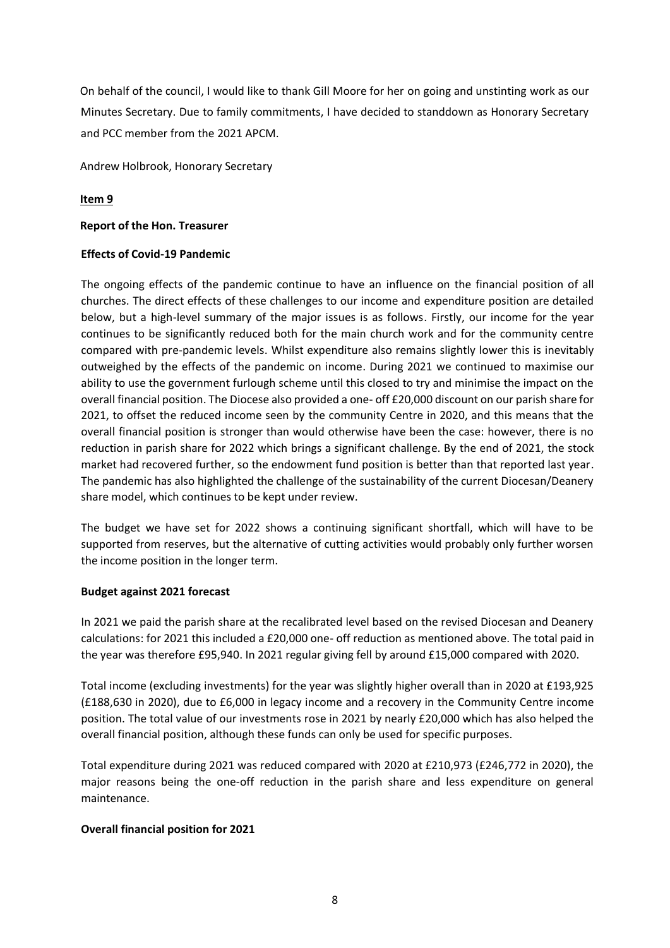On behalf of the council, I would like to thank Gill Moore for her on going and unstinting work as our Minutes Secretary. Due to family commitments, I have decided to standdown as Honorary Secretary and PCC member from the 2021 APCM.

Andrew Holbrook, Honorary Secretary

## **Item 9**

#### **Report of the Hon. Treasurer**

#### **Effects of Covid-19 Pandemic**

The ongoing effects of the pandemic continue to have an influence on the financial position of all churches. The direct effects of these challenges to our income and expenditure position are detailed below, but a high-level summary of the major issues is as follows. Firstly, our income for the year continues to be significantly reduced both for the main church work and for the community centre compared with pre-pandemic levels. Whilst expenditure also remains slightly lower this is inevitably outweighed by the effects of the pandemic on income. During 2021 we continued to maximise our ability to use the government furlough scheme until this closed to try and minimise the impact on the overall financial position. The Diocese also provided a one- off £20,000 discount on our parish share for 2021, to offset the reduced income seen by the community Centre in 2020, and this means that the overall financial position is stronger than would otherwise have been the case: however, there is no reduction in parish share for 2022 which brings a significant challenge. By the end of 2021, the stock market had recovered further, so the endowment fund position is better than that reported last year. The pandemic has also highlighted the challenge of the sustainability of the current Diocesan/Deanery share model, which continues to be kept under review.

The budget we have set for 2022 shows a continuing significant shortfall, which will have to be supported from reserves, but the alternative of cutting activities would probably only further worsen the income position in the longer term.

#### **Budget against 2021 forecast**

In 2021 we paid the parish share at the recalibrated level based on the revised Diocesan and Deanery calculations: for 2021 this included a £20,000 one- off reduction as mentioned above. The total paid in the year was therefore £95,940. In 2021 regular giving fell by around £15,000 compared with 2020.

Total income (excluding investments) for the year was slightly higher overall than in 2020 at £193,925 (£188,630 in 2020), due to £6,000 in legacy income and a recovery in the Community Centre income position. The total value of our investments rose in 2021 by nearly £20,000 which has also helped the overall financial position, although these funds can only be used for specific purposes.

Total expenditure during 2021 was reduced compared with 2020 at £210,973 (£246,772 in 2020), the major reasons being the one-off reduction in the parish share and less expenditure on general maintenance.

#### **Overall financial position for 2021**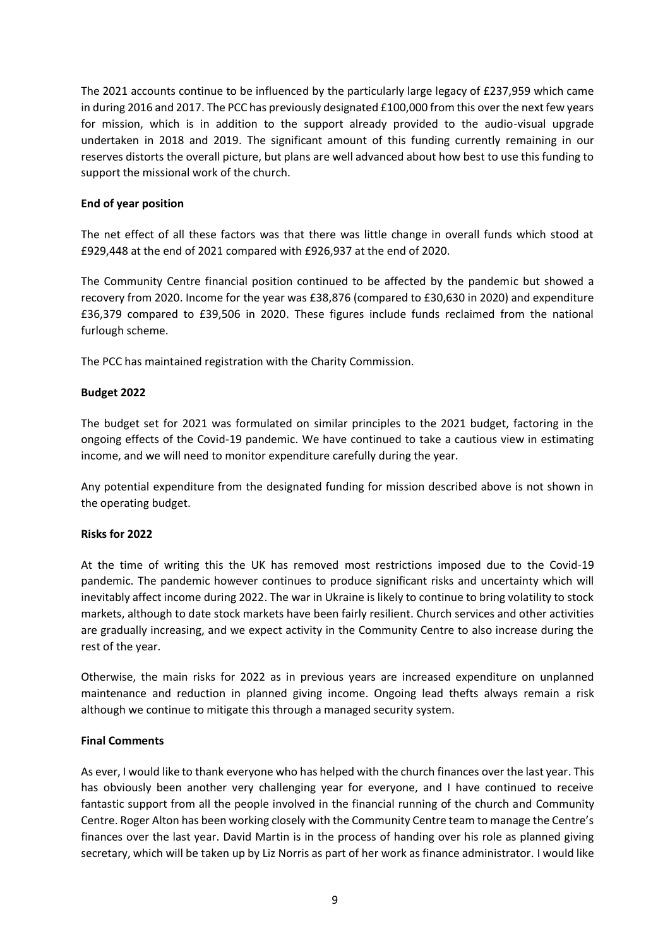The 2021 accounts continue to be influenced by the particularly large legacy of £237,959 which came in during 2016 and 2017. The PCC has previously designated £100,000 from this over the next few years for mission, which is in addition to the support already provided to the audio-visual upgrade undertaken in 2018 and 2019. The significant amount of this funding currently remaining in our reserves distorts the overall picture, but plans are well advanced about how best to use this funding to support the missional work of the church.

#### **End of year position**

The net effect of all these factors was that there was little change in overall funds which stood at £929,448 at the end of 2021 compared with £926,937 at the end of 2020.

The Community Centre financial position continued to be affected by the pandemic but showed a recovery from 2020. Income for the year was £38,876 (compared to £30,630 in 2020) and expenditure £36,379 compared to £39,506 in 2020. These figures include funds reclaimed from the national furlough scheme.

The PCC has maintained registration with the Charity Commission.

#### **Budget 2022**

The budget set for 2021 was formulated on similar principles to the 2021 budget, factoring in the ongoing effects of the Covid-19 pandemic. We have continued to take a cautious view in estimating income, and we will need to monitor expenditure carefully during the year.

Any potential expenditure from the designated funding for mission described above is not shown in the operating budget.

#### **Risks for 2022**

At the time of writing this the UK has removed most restrictions imposed due to the Covid-19 pandemic. The pandemic however continues to produce significant risks and uncertainty which will inevitably affect income during 2022. The war in Ukraine is likely to continue to bring volatility to stock markets, although to date stock markets have been fairly resilient. Church services and other activities are gradually increasing, and we expect activity in the Community Centre to also increase during the rest of the year.

Otherwise, the main risks for 2022 as in previous years are increased expenditure on unplanned maintenance and reduction in planned giving income. Ongoing lead thefts always remain a risk although we continue to mitigate this through a managed security system.

#### **Final Comments**

As ever, I would like to thank everyone who has helped with the church finances over the last year. This has obviously been another very challenging year for everyone, and I have continued to receive fantastic support from all the people involved in the financial running of the church and Community Centre. Roger Alton has been working closely with the Community Centre team to manage the Centre's finances over the last year. David Martin is in the process of handing over his role as planned giving secretary, which will be taken up by Liz Norris as part of her work as finance administrator. I would like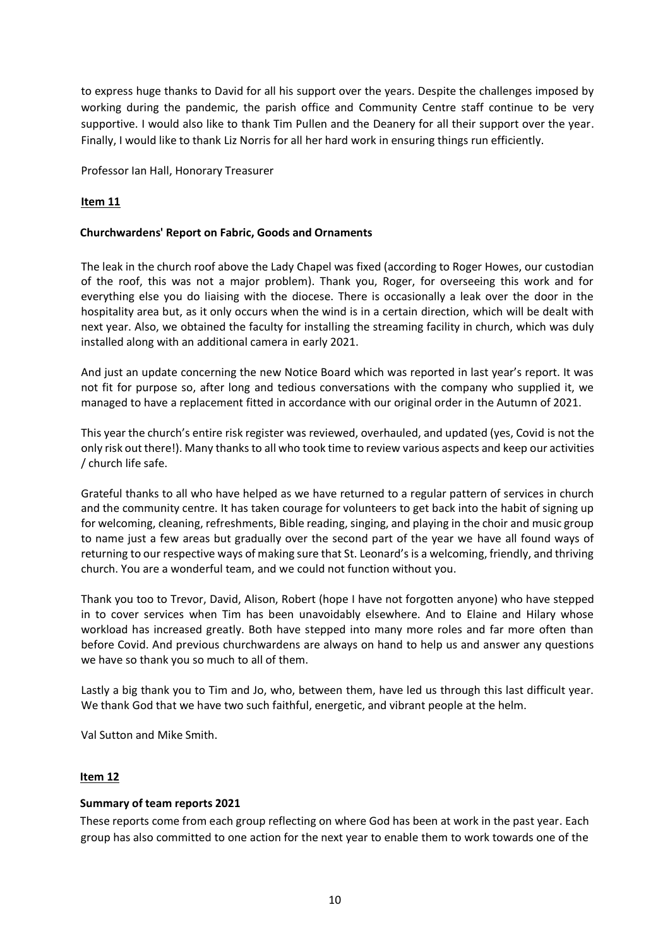to express huge thanks to David for all his support over the years. Despite the challenges imposed by working during the pandemic, the parish office and Community Centre staff continue to be very supportive. I would also like to thank Tim Pullen and the Deanery for all their support over the year. Finally, I would like to thank Liz Norris for all her hard work in ensuring things run efficiently.

Professor Ian Hall, Honorary Treasurer

## **Item 11**

#### **Churchwardens' Report on Fabric, Goods and Ornaments**

The leak in the church roof above the Lady Chapel was fixed (according to Roger Howes, our custodian of the roof, this was not a major problem). Thank you, Roger, for overseeing this work and for everything else you do liaising with the diocese. There is occasionally a leak over the door in the hospitality area but, as it only occurs when the wind is in a certain direction, which will be dealt with next year. Also, we obtained the faculty for installing the streaming facility in church, which was duly installed along with an additional camera in early 2021.

And just an update concerning the new Notice Board which was reported in last year's report. It was not fit for purpose so, after long and tedious conversations with the company who supplied it, we managed to have a replacement fitted in accordance with our original order in the Autumn of 2021.

This year the church's entire risk register was reviewed, overhauled, and updated (yes, Covid is not the only risk out there!). Many thanks to all who took time to review various aspects and keep our activities / church life safe.

Grateful thanks to all who have helped as we have returned to a regular pattern of services in church and the community centre. It has taken courage for volunteers to get back into the habit of signing up for welcoming, cleaning, refreshments, Bible reading, singing, and playing in the choir and music group to name just a few areas but gradually over the second part of the year we have all found ways of returning to our respective ways of making sure that St. Leonard's is a welcoming, friendly, and thriving church. You are a wonderful team, and we could not function without you.

Thank you too to Trevor, David, Alison, Robert (hope I have not forgotten anyone) who have stepped in to cover services when Tim has been unavoidably elsewhere. And to Elaine and Hilary whose workload has increased greatly. Both have stepped into many more roles and far more often than before Covid. And previous churchwardens are always on hand to help us and answer any questions we have so thank you so much to all of them.

Lastly a big thank you to Tim and Jo, who, between them, have led us through this last difficult year. We thank God that we have two such faithful, energetic, and vibrant people at the helm.

Val Sutton and Mike Smith.

## **Item 12**

#### **Summary of team reports 2021**

These reports come from each group reflecting on where God has been at work in the past year. Each group has also committed to one action for the next year to enable them to work towards one of the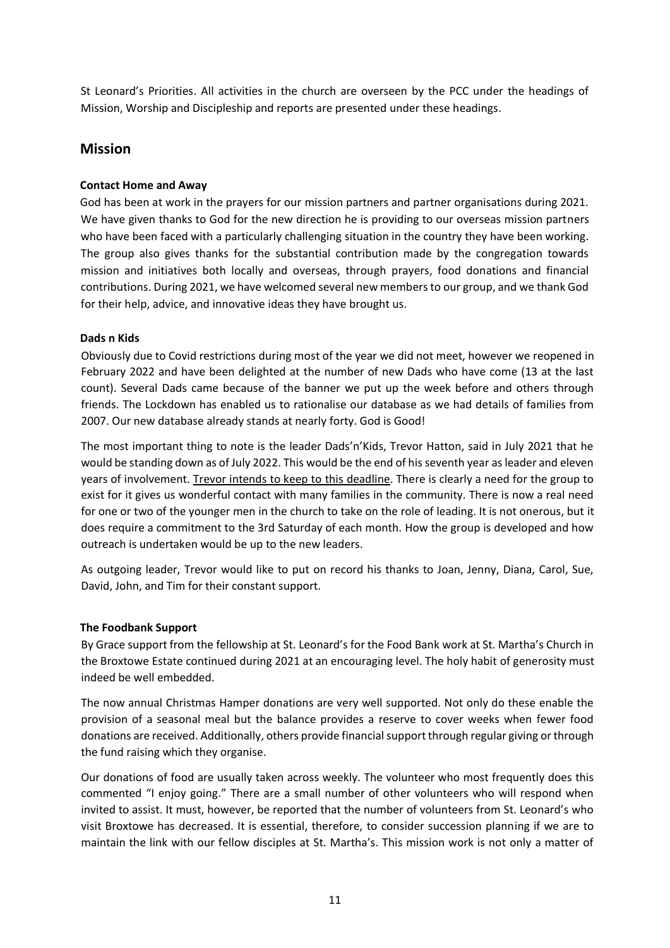St Leonard's Priorities. All activities in the church are overseen by the PCC under the headings of Mission, Worship and Discipleship and reports are presented under these headings.

## **Mission**

## **Contact Home and Away**

God has been at work in the prayers for our mission partners and partner organisations during 2021. We have given thanks to God for the new direction he is providing to our overseas mission partners who have been faced with a particularly challenging situation in the country they have been working. The group also gives thanks for the substantial contribution made by the congregation towards mission and initiatives both locally and overseas, through prayers, food donations and financial contributions. During 2021, we have welcomed several new members to our group, and we thank God for their help, advice, and innovative ideas they have brought us.

## **Dads n Kids**

Obviously due to Covid restrictions during most of the year we did not meet, however we reopened in February 2022 and have been delighted at the number of new Dads who have come (13 at the last count). Several Dads came because of the banner we put up the week before and others through friends. The Lockdown has enabled us to rationalise our database as we had details of families from 2007. Our new database already stands at nearly forty. God is Good!

The most important thing to note is the leader Dads'n'Kids, Trevor Hatton, said in July 2021 that he would be standing down as of July 2022. This would be the end of his seventh year as leader and eleven years of involvement. Trevor intends to keep to this deadline. There is clearly a need for the group to exist for it gives us wonderful contact with many families in the community. There is now a real need for one or two of the younger men in the church to take on the role of leading. It is not onerous, but it does require a commitment to the 3rd Saturday of each month. How the group is developed and how outreach is undertaken would be up to the new leaders.

As outgoing leader, Trevor would like to put on record his thanks to Joan, Jenny, Diana, Carol, Sue, David, John, and Tim for their constant support.

## **The Foodbank Support**

By Grace support from the fellowship at St. Leonard's for the Food Bank work at St. Martha's Church in the Broxtowe Estate continued during 2021 at an encouraging level. The holy habit of generosity must indeed be well embedded.

The now annual Christmas Hamper donations are very well supported. Not only do these enable the provision of a seasonal meal but the balance provides a reserve to cover weeks when fewer food donations are received. Additionally, others provide financial support through regular giving or through the fund raising which they organise.

Our donations of food are usually taken across weekly. The volunteer who most frequently does this commented "I enjoy going." There are a small number of other volunteers who will respond when invited to assist. It must, however, be reported that the number of volunteers from St. Leonard's who visit Broxtowe has decreased. It is essential, therefore, to consider succession planning if we are to maintain the link with our fellow disciples at St. Martha's. This mission work is not only a matter of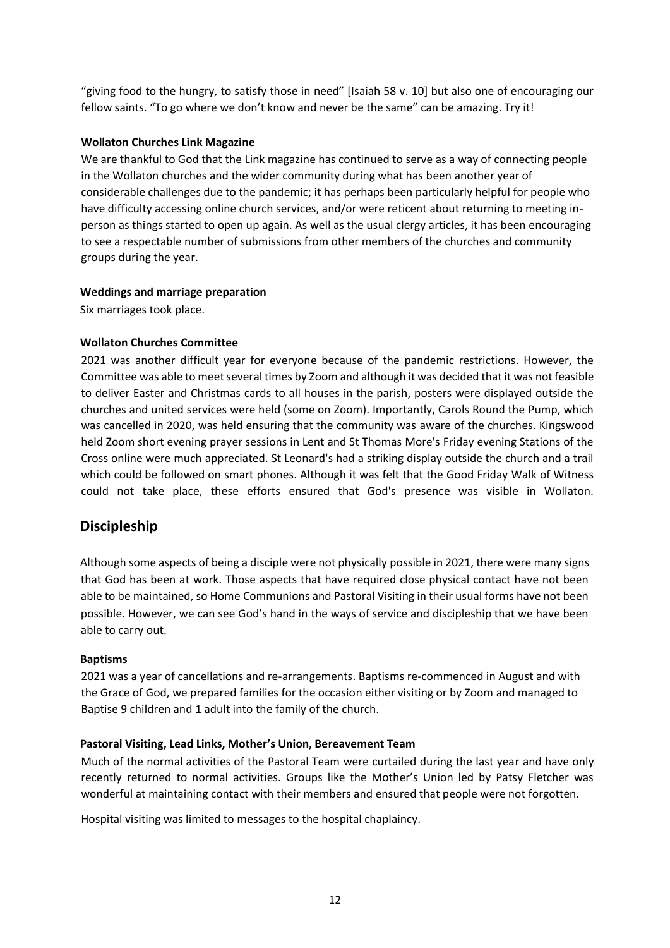"giving food to the hungry, to satisfy those in need" [Isaiah 58 v. 10] but also one of encouraging our fellow saints. "To go where we don't know and never be the same" can be amazing. Try it!

### **Wollaton Churches Link Magazine**

We are thankful to God that the Link magazine has continued to serve as a way of connecting people in the Wollaton churches and the wider community during what has been another year of considerable challenges due to the pandemic; it has perhaps been particularly helpful for people who have difficulty accessing online church services, and/or were reticent about returning to meeting inperson as things started to open up again. As well as the usual clergy articles, it has been encouraging to see a respectable number of submissions from other members of the churches and community groups during the year.

## **Weddings and marriage preparation**

Six marriages took place.

## **Wollaton Churches Committee**

2021 was another difficult year for everyone because of the pandemic restrictions. However, the Committee was able to meet several times by Zoom and although it was decided that it was not feasible to deliver Easter and Christmas cards to all houses in the parish, posters were displayed outside the churches and united services were held (some on Zoom). Importantly, Carols Round the Pump, which was cancelled in 2020, was held ensuring that the community was aware of the churches. Kingswood held Zoom short evening prayer sessions in Lent and St Thomas More's Friday evening Stations of the Cross online were much appreciated. St Leonard's had a striking display outside the church and a trail which could be followed on smart phones. Although it was felt that the Good Friday Walk of Witness could not take place, these efforts ensured that God's presence was visible in Wollaton.

## **Discipleship**

Although some aspects of being a disciple were not physically possible in 2021, there were many signs that God has been at work. Those aspects that have required close physical contact have not been able to be maintained, so Home Communions and Pastoral Visiting in their usual forms have not been possible. However, we can see God's hand in the ways of service and discipleship that we have been able to carry out.

#### **Baptisms**

2021 was a year of cancellations and re-arrangements. Baptisms re-commenced in August and with the Grace of God, we prepared families for the occasion either visiting or by Zoom and managed to Baptise 9 children and 1 adult into the family of the church.

## **Pastoral Visiting, Lead Links, Mother's Union, Bereavement Team**

Much of the normal activities of the Pastoral Team were curtailed during the last year and have only recently returned to normal activities. Groups like the Mother's Union led by Patsy Fletcher was wonderful at maintaining contact with their members and ensured that people were not forgotten.

Hospital visiting was limited to messages to the hospital chaplaincy.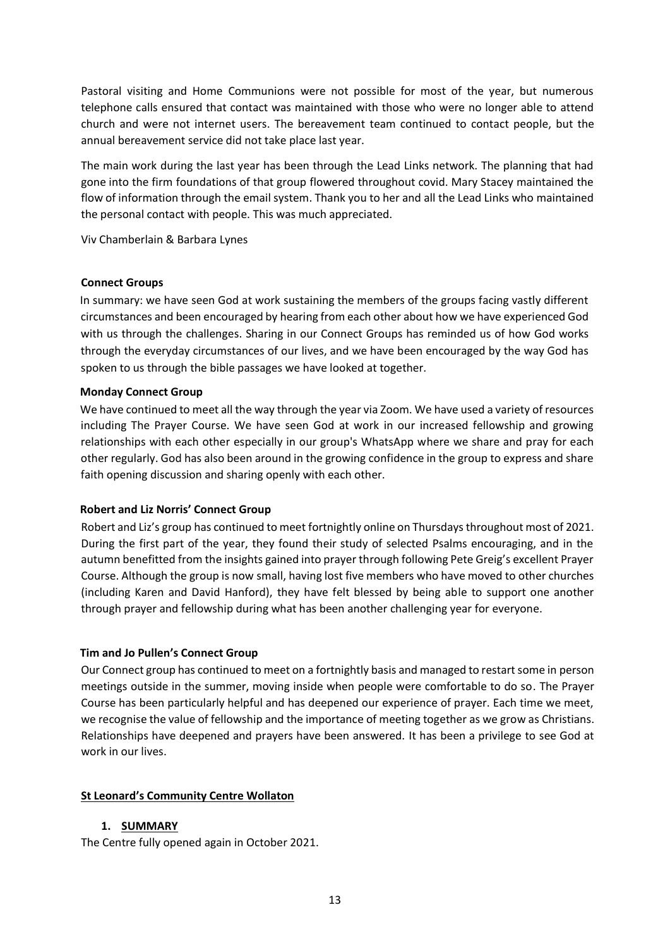Pastoral visiting and Home Communions were not possible for most of the year, but numerous telephone calls ensured that contact was maintained with those who were no longer able to attend church and were not internet users. The bereavement team continued to contact people, but the annual bereavement service did not take place last year.

The main work during the last year has been through the Lead Links network. The planning that had gone into the firm foundations of that group flowered throughout covid. Mary Stacey maintained the flow of information through the email system. Thank you to her and all the Lead Links who maintained the personal contact with people. This was much appreciated.

Viv Chamberlain & Barbara Lynes

#### **Connect Groups**

In summary: we have seen God at work sustaining the members of the groups facing vastly different circumstances and been encouraged by hearing from each other about how we have experienced God with us through the challenges. Sharing in our Connect Groups has reminded us of how God works through the everyday circumstances of our lives, and we have been encouraged by the way God has spoken to us through the bible passages we have looked at together.

#### **Monday Connect Group**

We have continued to meet all the way through the year via Zoom. We have used a variety of resources including The Prayer Course. We have seen God at work in our increased fellowship and growing relationships with each other especially in our group's WhatsApp where we share and pray for each other regularly. God has also been around in the growing confidence in the group to express and share faith opening discussion and sharing openly with each other.

#### **Robert and Liz Norris' Connect Group**

Robert and Liz's group has continued to meet fortnightly online on Thursdays throughout most of 2021. During the first part of the year, they found their study of selected Psalms encouraging, and in the autumn benefitted from the insights gained into prayer through following Pete Greig's excellent Prayer Course. Although the group is now small, having lost five members who have moved to other churches (including Karen and David Hanford), they have felt blessed by being able to support one another through prayer and fellowship during what has been another challenging year for everyone.

## **Tim and Jo Pullen's Connect Group**

Our Connect group has continued to meet on a fortnightly basis and managed to restart some in person meetings outside in the summer, moving inside when people were comfortable to do so. The Prayer Course has been particularly helpful and has deepened our experience of prayer. Each time we meet, we recognise the value of fellowship and the importance of meeting together as we grow as Christians. Relationships have deepened and prayers have been answered. It has been a privilege to see God at work in our lives.

## **St Leonard's Community Centre Wollaton**

## **1. SUMMARY**

The Centre fully opened again in October 2021.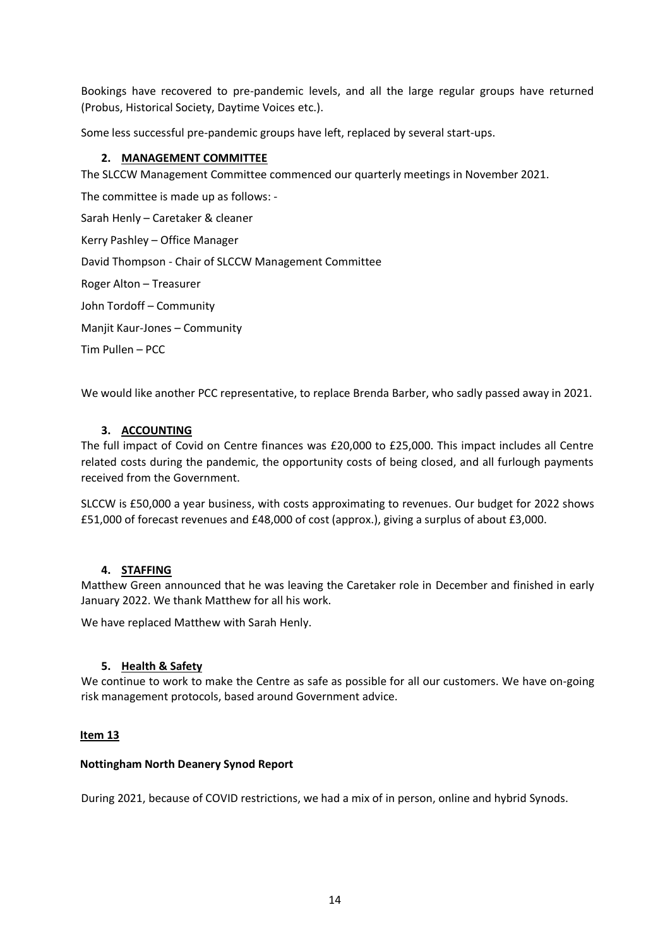Bookings have recovered to pre-pandemic levels, and all the large regular groups have returned (Probus, Historical Society, Daytime Voices etc.).

Some less successful pre-pandemic groups have left, replaced by several start-ups.

#### **2. MANAGEMENT COMMITTEE**

The SLCCW Management Committee commenced our quarterly meetings in November 2021.

The committee is made up as follows: - Sarah Henly – Caretaker & cleaner Kerry Pashley – Office Manager David Thompson - Chair of SLCCW Management Committee Roger Alton – Treasurer John Tordoff – Community Manjit Kaur-Jones – Community Tim Pullen – PCC

We would like another PCC representative, to replace Brenda Barber, who sadly passed away in 2021.

#### **3. ACCOUNTING**

The full impact of Covid on Centre finances was £20,000 to £25,000. This impact includes all Centre related costs during the pandemic, the opportunity costs of being closed, and all furlough payments received from the Government.

SLCCW is £50,000 a year business, with costs approximating to revenues. Our budget for 2022 shows £51,000 of forecast revenues and £48,000 of cost (approx.), giving a surplus of about £3,000.

#### **4. STAFFING**

Matthew Green announced that he was leaving the Caretaker role in December and finished in early January 2022. We thank Matthew for all his work.

We have replaced Matthew with Sarah Henly.

#### **5. Health & Safety**

We continue to work to make the Centre as safe as possible for all our customers. We have on-going risk management protocols, based around Government advice.

#### **Item 13**

#### **Nottingham North Deanery Synod Report**

During 2021, because of COVID restrictions, we had a mix of in person, online and hybrid Synods.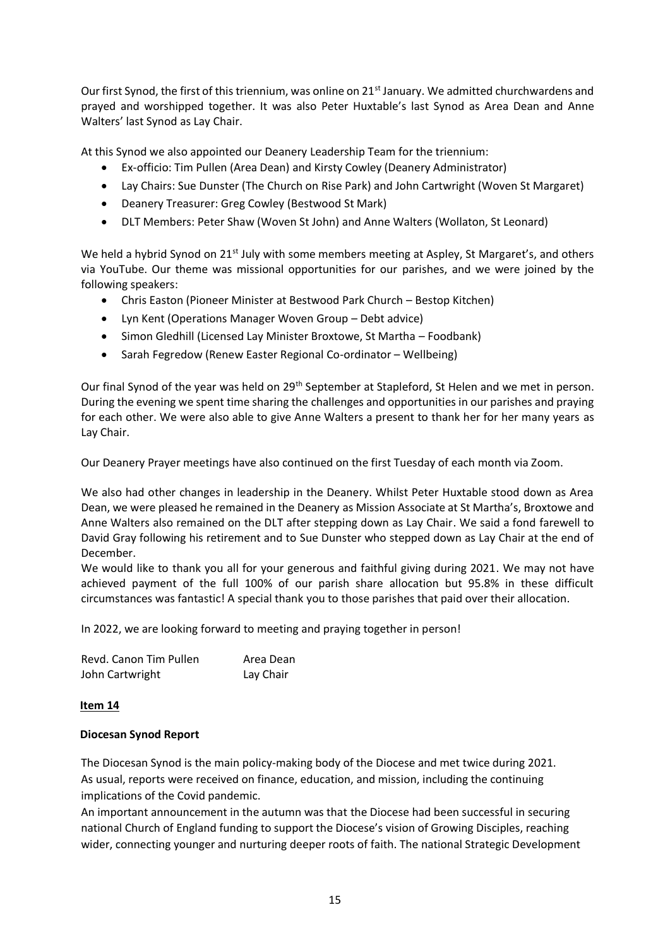Our first Synod, the first of this triennium, was online on 21<sup>st</sup> January. We admitted churchwardens and prayed and worshipped together. It was also Peter Huxtable's last Synod as Area Dean and Anne Walters' last Synod as Lay Chair.

At this Synod we also appointed our Deanery Leadership Team for the triennium:

- Ex-officio: Tim Pullen (Area Dean) and Kirsty Cowley (Deanery Administrator)
- Lay Chairs: Sue Dunster (The Church on Rise Park) and John Cartwright (Woven St Margaret)
- Deanery Treasurer: Greg Cowley (Bestwood St Mark)
- DLT Members: Peter Shaw (Woven St John) and Anne Walters (Wollaton, St Leonard)

We held a hybrid Synod on 21<sup>st</sup> July with some members meeting at Aspley, St Margaret's, and others via YouTube. Our theme was missional opportunities for our parishes, and we were joined by the following speakers:

- Chris Easton (Pioneer Minister at Bestwood Park Church Bestop Kitchen)
- Lyn Kent (Operations Manager Woven Group Debt advice)
- Simon Gledhill (Licensed Lay Minister Broxtowe, St Martha Foodbank)
- Sarah Fegredow (Renew Easter Regional Co-ordinator Wellbeing)

Our final Synod of the year was held on 29<sup>th</sup> September at Stapleford, St Helen and we met in person. During the evening we spent time sharing the challenges and opportunities in our parishes and praying for each other. We were also able to give Anne Walters a present to thank her for her many years as Lay Chair.

Our Deanery Prayer meetings have also continued on the first Tuesday of each month via Zoom.

We also had other changes in leadership in the Deanery. Whilst Peter Huxtable stood down as Area Dean, we were pleased he remained in the Deanery as Mission Associate at St Martha's, Broxtowe and Anne Walters also remained on the DLT after stepping down as Lay Chair. We said a fond farewell to David Gray following his retirement and to Sue Dunster who stepped down as Lay Chair at the end of December.

We would like to thank you all for your generous and faithful giving during 2021. We may not have achieved payment of the full 100% of our parish share allocation but 95.8% in these difficult circumstances was fantastic! A special thank you to those parishes that paid over their allocation.

In 2022, we are looking forward to meeting and praying together in person!

| Revd. Canon Tim Pullen | Area Dean |
|------------------------|-----------|
| John Cartwright        | Lay Chair |

#### **Item 14**

#### **Diocesan Synod Report**

The Diocesan Synod is the main policy-making body of the Diocese and met twice during 2021. As usual, reports were received on finance, education, and mission, including the continuing implications of the Covid pandemic.

An important announcement in the autumn was that the Diocese had been successful in securing national Church of England funding to support the Diocese's vision of Growing Disciples, reaching wider, connecting younger and nurturing deeper roots of faith. The national Strategic Development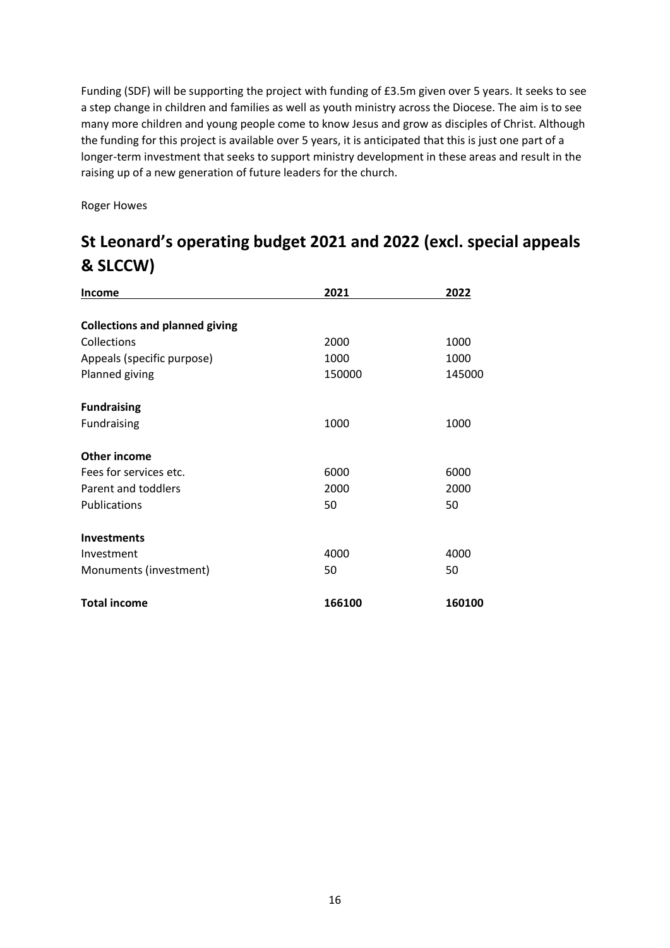Funding (SDF) will be supporting the project with funding of £3.5m given over 5 years. It seeks to see a step change in children and families as well as youth ministry across the Diocese. The aim is to see many more children and young people come to know Jesus and grow as disciples of Christ. Although the funding for this project is available over 5 years, it is anticipated that this is just one part of a longer-term investment that seeks to support ministry development in these areas and result in the raising up of a new generation of future leaders for the church.

Roger Howes

## **St Leonard's operating budget 2021 and 2022 (excl. special appeals & SLCCW)**

| <b>Income</b>                         | 2021   | 2022   |
|---------------------------------------|--------|--------|
| <b>Collections and planned giving</b> |        |        |
| Collections                           | 2000   | 1000   |
| Appeals (specific purpose)            | 1000   | 1000   |
| Planned giving                        | 150000 | 145000 |
| <b>Fundraising</b>                    |        |        |
| Fundraising                           | 1000   | 1000   |
| <b>Other income</b>                   |        |        |
| Fees for services etc.                | 6000   | 6000   |
| Parent and toddlers                   | 2000   | 2000   |
| Publications                          | 50     | 50     |
| <b>Investments</b>                    |        |        |
| Investment                            | 4000   | 4000   |
| Monuments (investment)                | 50     | 50     |
| <b>Total income</b>                   | 166100 | 160100 |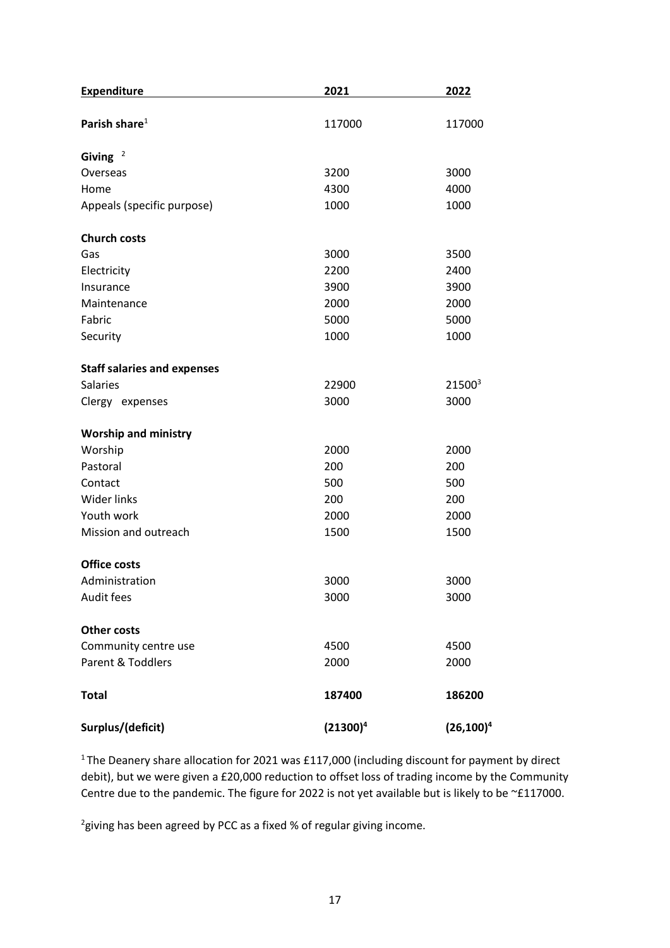| <b>Expenditure</b>                 | 2021        | 2022               |
|------------------------------------|-------------|--------------------|
| Parish share $1$                   | 117000      | 117000             |
| Giving $2$                         |             |                    |
| Overseas                           | 3200        | 3000               |
| Home                               | 4300        | 4000               |
| Appeals (specific purpose)         | 1000        | 1000               |
| <b>Church costs</b>                |             |                    |
| Gas                                | 3000        | 3500               |
| Electricity                        | 2200        | 2400               |
| Insurance                          | 3900        | 3900               |
| Maintenance                        | 2000        | 2000               |
| Fabric                             | 5000        | 5000               |
| Security                           | 1000        | 1000               |
| <b>Staff salaries and expenses</b> |             |                    |
| <b>Salaries</b>                    | 22900       | 21500 <sup>3</sup> |
| Clergy expenses                    | 3000        | 3000               |
| <b>Worship and ministry</b>        |             |                    |
| Worship                            | 2000        | 2000               |
| Pastoral                           | 200         | 200                |
| Contact                            | 500         | 500                |
| <b>Wider links</b>                 | 200         | 200                |
| Youth work                         | 2000        | 2000               |
| Mission and outreach               | 1500        | 1500               |
| <b>Office costs</b>                |             |                    |
| Administration                     | 3000        | 3000               |
| Audit fees                         | 3000        | 3000               |
| <b>Other costs</b>                 |             |                    |
| Community centre use               | 4500        | 4500               |
| Parent & Toddlers                  | 2000        | 2000               |
| <b>Total</b>                       | 187400      | 186200             |
| Surplus/(deficit)                  | $(21300)^4$ | $(26, 100)^4$      |

<sup>1</sup>The Deanery share allocation for 2021 was £117,000 (including discount for payment by direct debit), but we were given a £20,000 reduction to offset loss of trading income by the Community Centre due to the pandemic. The figure for 2022 is not yet available but is likely to be ~£117000.

 $^{2}$ giving has been agreed by PCC as a fixed % of regular giving income.